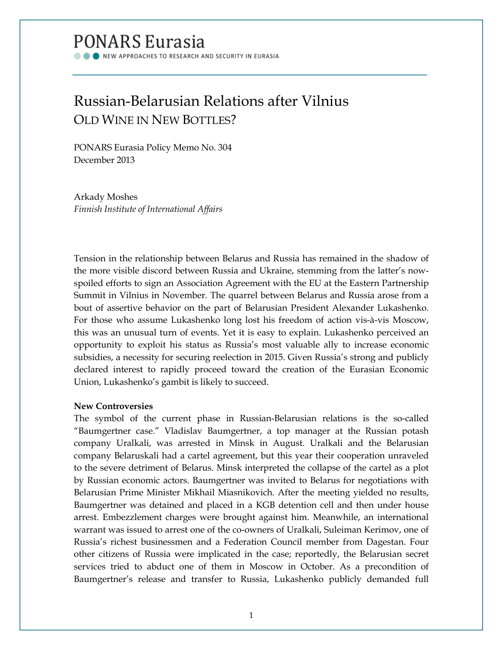# **PONARS Eurasia**

NEW APPROACHES TO RESEARCH AND SECURITY IN EURASIA

# Russian-Belarusian Relations after Vilnius OLD WINE IN NEW BOTTLES?

PONARS Eurasia Policy Memo No. 304 December 2013

Arkady Moshes *Finnish Institute of International Affairs*

Tension in the relationship between Belarus and Russia has remained in the shadow of the more visible discord between Russia and Ukraine, stemming from the latter's nowspoiled efforts to sign an Association Agreement with the EU at the Eastern Partnership Summit in Vilnius in November. The quarrel between Belarus and Russia arose from a bout of assertive behavior on the part of Belarusian President Alexander Lukashenko. For those who assume Lukashenko long lost his freedom of action vis-à-vis Moscow, this was an unusual turn of events. Yet it is easy to explain. Lukashenko perceived an opportunity to exploit his status as Russia's most valuable ally to increase economic subsidies, a necessity for securing reelection in 2015. Given Russia's strong and publicly declared interest to rapidly proceed toward the creation of the Eurasian Economic Union, Lukashenko's gambit is likely to succeed.

## **New Controversies**

The symbol of the current phase in Russian-Belarusian relations is the so-called "Baumgertner case." Vladislav Baumgertner, a top manager at the Russian potash company Uralkali, was arrested in Minsk in August. Uralkali and the Belarusian company Belaruskali had a cartel agreement, but this year their cooperation unraveled to the severe detriment of Belarus. Minsk interpreted the collapse of the cartel as a plot by Russian economic actors. Baumgertner was invited to Belarus for negotiations with Belarusian Prime Minister Mikhail Miasnikovich. After the meeting yielded no results, Baumgertner was detained and placed in a KGB detention cell and then under house arrest. Embezzlement charges were brought against him. Meanwhile, an international warrant was issued to arrest one of the co-owners of Uralkali, Suleiman Kerimov, one of Russia's richest businessmen and a Federation Council member from Dagestan. Four other citizens of Russia were implicated in the case; reportedly, the Belarusian secret services tried to abduct one of them in Moscow in October. As a precondition of Baumgertner's release and transfer to Russia, Lukashenko publicly demanded full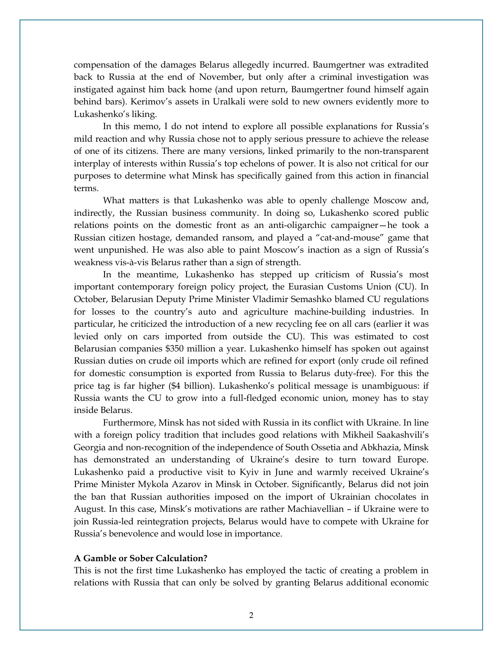compensation of the damages Belarus allegedly incurred. Baumgertner was extradited back to Russia at the end of November, but only after a criminal investigation was instigated against him back home (and upon return, Baumgertner found himself again behind bars). Kerimov's assets in Uralkali were sold to new owners evidently more to Lukashenko's liking.

In this memo, I do not intend to explore all possible explanations for Russia's mild reaction and why Russia chose not to apply serious pressure to achieve the release of one of its citizens. There are many versions, linked primarily to the non-transparent interplay of interests within Russia's top echelons of power. It is also not critical for our purposes to determine what Minsk has specifically gained from this action in financial terms.

What matters is that Lukashenko was able to openly challenge Moscow and, indirectly, the Russian business community. In doing so, Lukashenko scored public relations points on the domestic front as an anti-oligarchic campaigner—he took a Russian citizen hostage, demanded ransom, and played a "cat-and-mouse" game that went unpunished. He was also able to paint Moscow's inaction as a sign of Russia's weakness vis-à-vis Belarus rather than a sign of strength.

In the meantime, Lukashenko has stepped up criticism of Russia's most important contemporary foreign policy project, the Eurasian Customs Union (CU). In October, Belarusian Deputy Prime Minister Vladimir Semashko blamed CU regulations for losses to the country's auto and agriculture machine-building industries. In particular, he criticized the introduction of a new recycling fee on all cars (earlier it was levied only on cars imported from outside the CU). This was estimated to cost Belarusian companies \$350 million a year. Lukashenko himself has spoken out against Russian duties on crude oil imports which are refined for export (only crude oil refined for domestic consumption is exported from Russia to Belarus duty-free). For this the price tag is far higher (\$4 billion). Lukashenko's political message is unambiguous: if Russia wants the CU to grow into a full-fledged economic union, money has to stay inside Belarus.

Furthermore, Minsk has not sided with Russia in its conflict with Ukraine. In line with a foreign policy tradition that includes good relations with Mikheil Saakashvili's Georgia and non-recognition of the independence of South Ossetia and Abkhazia, Minsk has demonstrated an understanding of Ukraine's desire to turn toward Europe. Lukashenko paid a productive visit to Kyiv in June and warmly received Ukraine's Prime Minister Mykola Azarov in Minsk in October. Significantly, Belarus did not join the ban that Russian authorities imposed on the import of Ukrainian chocolates in August. In this case, Minsk's motivations are rather Machiavellian – if Ukraine were to join Russia-led reintegration projects, Belarus would have to compete with Ukraine for Russia's benevolence and would lose in importance.

### **A Gamble or Sober Calculation?**

This is not the first time Lukashenko has employed the tactic of creating a problem in relations with Russia that can only be solved by granting Belarus additional economic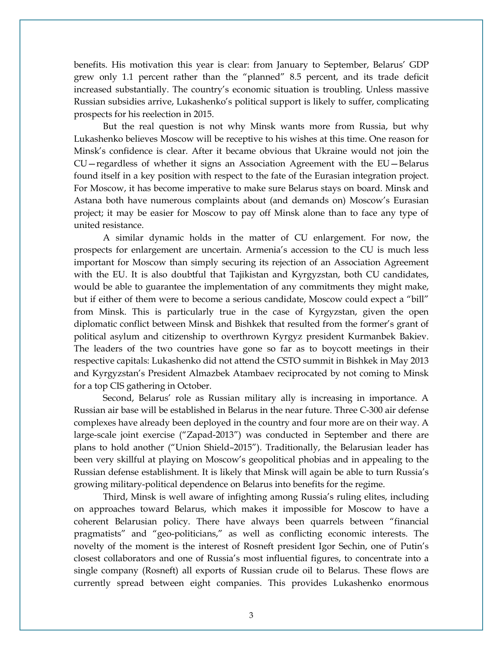benefits. His motivation this year is clear: from January to September, Belarus' GDP grew only 1.1 percent rather than the "planned" 8.5 percent, and its trade deficit increased substantially. The country's economic situation is troubling. Unless massive Russian subsidies arrive, Lukashenko's political support is likely to suffer, complicating prospects for his reelection in 2015.

But the real question is not why Minsk wants more from Russia, but why Lukashenko believes Moscow will be receptive to his wishes at this time. One reason for Minsk's confidence is clear. After it became obvious that Ukraine would not join the CU—regardless of whether it signs an Association Agreement with the EU—Belarus found itself in a key position with respect to the fate of the Eurasian integration project. For Moscow, it has become imperative to make sure Belarus stays on board. Minsk and Astana both have numerous complaints about (and demands on) Moscow's Eurasian project; it may be easier for Moscow to pay off Minsk alone than to face any type of united resistance.

A similar dynamic holds in the matter of CU enlargement. For now, the prospects for enlargement are uncertain. Armenia's accession to the CU is much less important for Moscow than simply securing its rejection of an Association Agreement with the EU. It is also doubtful that Tajikistan and Kyrgyzstan, both CU candidates, would be able to guarantee the implementation of any commitments they might make, but if either of them were to become a serious candidate, Moscow could expect a "bill" from Minsk. This is particularly true in the case of Kyrgyzstan, given the open diplomatic conflict between Minsk and Bishkek that resulted from the former's grant of political asylum and citizenship to overthrown Kyrgyz president Kurmanbek Bakiev. The leaders of the two countries have gone so far as to boycott meetings in their respective capitals: Lukashenko did not attend the CSTO summit in Bishkek in May 2013 and Kyrgyzstan's President Almazbek Atambaev reciprocated by not coming to Minsk for a top CIS gathering in October.

Second, Belarus' role as Russian military ally is increasing in importance. A Russian air base will be established in Belarus in the near future. Three C-300 air defense complexes have already been deployed in the country and four more are on their way. A large-scale joint exercise ("Zapad-2013") was conducted in September and there are plans to hold another ("Union Shield–2015"). Traditionally, the Belarusian leader has been very skillful at playing on Moscow's geopolitical phobias and in appealing to the Russian defense establishment. It is likely that Minsk will again be able to turn Russia's growing military-political dependence on Belarus into benefits for the regime.

Third, Minsk is well aware of infighting among Russia's ruling elites, including on approaches toward Belarus, which makes it impossible for Moscow to have a coherent Belarusian policy. There have always been quarrels between "financial pragmatists" and "geo-politicians," as well as conflicting economic interests. The novelty of the moment is the interest of Rosneft president Igor Sechin, one of Putin's closest collaborators and one of Russia's most influential figures, to concentrate into a single company (Rosneft) all exports of Russian crude oil to Belarus. These flows are currently spread between eight companies. This provides Lukashenko enormous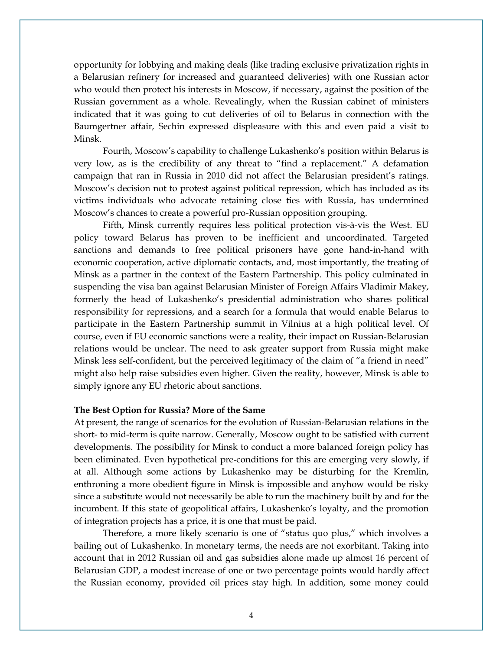opportunity for lobbying and making deals (like trading exclusive privatization rights in a Belarusian refinery for increased and guaranteed deliveries) with one Russian actor who would then protect his interests in Moscow, if necessary, against the position of the Russian government as a whole. Revealingly, when the Russian cabinet of ministers indicated that it was going to cut deliveries of oil to Belarus in connection with the Baumgertner affair, Sechin expressed displeasure with this and even paid a visit to Minsk.

Fourth, Moscow's capability to challenge Lukashenko's position within Belarus is very low, as is the credibility of any threat to "find a replacement." A defamation campaign that ran in Russia in 2010 did not affect the Belarusian president's ratings. Moscow's decision not to protest against political repression, which has included as its victims individuals who advocate retaining close ties with Russia, has undermined Moscow's chances to create a powerful pro-Russian opposition grouping.

Fifth, Minsk currently requires less political protection vis-à-vis the West. EU policy toward Belarus has proven to be inefficient and uncoordinated. Targeted sanctions and demands to free political prisoners have gone hand-in-hand with economic cooperation, active diplomatic contacts, and, most importantly, the treating of Minsk as a partner in the context of the Eastern Partnership. This policy culminated in suspending the visa ban against Belarusian Minister of Foreign Affairs Vladimir Makey, formerly the head of Lukashenko's presidential administration who shares political responsibility for repressions, and a search for a formula that would enable Belarus to participate in the Eastern Partnership summit in Vilnius at a high political level. Of course, even if EU economic sanctions were a reality, their impact on Russian-Belarusian relations would be unclear. The need to ask greater support from Russia might make Minsk less self-confident, but the perceived legitimacy of the claim of "a friend in need" might also help raise subsidies even higher. Given the reality, however, Minsk is able to simply ignore any EU rhetoric about sanctions.

#### **The Best Option for Russia? More of the Same**

At present, the range of scenarios for the evolution of Russian-Belarusian relations in the short- to mid-term is quite narrow. Generally, Moscow ought to be satisfied with current developments. The possibility for Minsk to conduct a more balanced foreign policy has been eliminated. Even hypothetical pre-conditions for this are emerging very slowly, if at all. Although some actions by Lukashenko may be disturbing for the Kremlin, enthroning a more obedient figure in Minsk is impossible and anyhow would be risky since a substitute would not necessarily be able to run the machinery built by and for the incumbent. If this state of geopolitical affairs, Lukashenko's loyalty, and the promotion of integration projects has a price, it is one that must be paid.

Therefore, a more likely scenario is one of "status quo plus," which involves a bailing out of Lukashenko. In monetary terms, the needs are not exorbitant. Taking into account that in 2012 Russian oil and gas subsidies alone made up almost 16 percent of Belarusian GDP, a modest increase of one or two percentage points would hardly affect the Russian economy, provided oil prices stay high. In addition, some money could